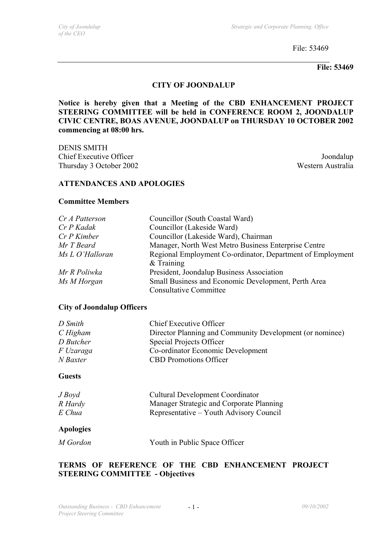File: 53469

**File: 53469** 

## **CITY OF JOONDALUP**

**Notice is hereby given that a Meeting of the CBD ENHANCEMENT PROJECT STEERING COMMITTEE will be held in CONFERENCE ROOM 2, JOONDALUP CIVIC CENTRE, BOAS AVENUE, JOONDALUP on THURSDAY 10 OCTOBER 2002 commencing at 08:00 hrs.** 

DENIS SMITH Chief Executive Officer Joondalup Thursday 3 October 2002 Western Australia

#### **ATTENDANCES AND APOLOGIES**

#### **Committee Members**

| Cr A Patterson  | Councillor (South Coastal Ward)                                            |  |
|-----------------|----------------------------------------------------------------------------|--|
| Cr P Kadak      | Councillor (Lakeside Ward)                                                 |  |
| $Cr P$ Kimber   | Councillor (Lakeside Ward), Chairman                                       |  |
| Mr T Beard      | Manager, North West Metro Business Enterprise Centre                       |  |
| Ms L O'Halloran | Regional Employment Co-ordinator, Department of Employment<br>$&$ Training |  |
| Mr R Poliwka    | President, Joondalup Business Association                                  |  |
| Ms M Horgan     | Small Business and Economic Development, Perth Area                        |  |
|                 | <b>Consultative Committee</b>                                              |  |

#### **City of Joondalup Officers**

| D Smith   | <b>Chief Executive Officer</b>                           |
|-----------|----------------------------------------------------------|
| CHigham   | Director Planning and Community Development (or nominee) |
| D Butcher | Special Projects Officer                                 |
| F Uzaraga | Co-ordinator Economic Development                        |
| N Baxter  | <b>CBD</b> Promotions Officer                            |
|           |                                                          |

# **Guests**

| J Boyd  | <b>Cultural Development Coordinator</b>  |
|---------|------------------------------------------|
| R Hardy | Manager Strategic and Corporate Planning |
| E Chua  | Representative – Youth Advisory Council  |

#### **Apologies**

*M Gordon* Youth in Public Space Officer

# **TERMS OF REFERENCE OF THE CBD ENHANCEMENT PROJECT STEERING COMMITTEE - Objectives**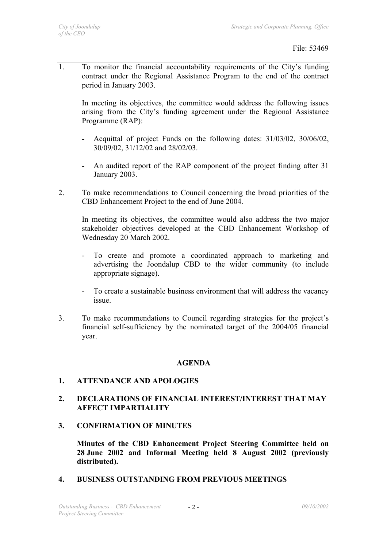1. To monitor the financial accountability requirements of the City's funding contract under the Regional Assistance Program to the end of the contract period in January 2003.

In meeting its objectives, the committee would address the following issues arising from the City's funding agreement under the Regional Assistance Programme (RAP):

- Acquittal of project Funds on the following dates: 31/03/02, 30/06/02, 30/09/02, 31/12/02 and 28/02/03.
- An audited report of the RAP component of the project finding after 31 January 2003.
- 2. To make recommendations to Council concerning the broad priorities of the CBD Enhancement Project to the end of June 2004.

 In meeting its objectives, the committee would also address the two major stakeholder objectives developed at the CBD Enhancement Workshop of Wednesday 20 March 2002.

- To create and promote a coordinated approach to marketing and advertising the Joondalup CBD to the wider community (to include appropriate signage).
- To create a sustainable business environment that will address the vacancy issue.
- 3. To make recommendations to Council regarding strategies for the project's financial self-sufficiency by the nominated target of the 2004/05 financial year.

# **AGENDA**

# **1. ATTENDANCE AND APOLOGIES**

## **2. DECLARATIONS OF FINANCIAL INTEREST/INTEREST THAT MAY AFFECT IMPARTIALITY**

**3. CONFIRMATION OF MINUTES** 

**Minutes of the CBD Enhancement Project Steering Committee held on 28 June 2002 and Informal Meeting held 8 August 2002 (previously distributed).**

**4. BUSINESS OUTSTANDING FROM PREVIOUS MEETINGS**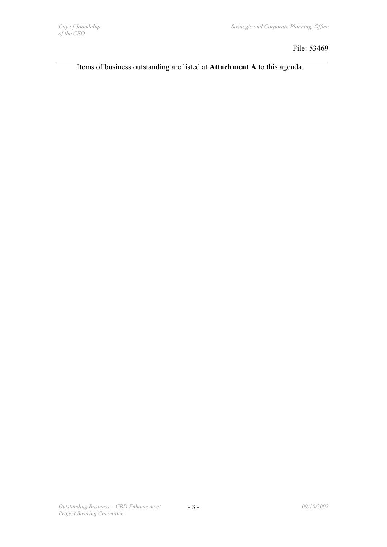File: 53469

Items of business outstanding are listed at **Attachment A** to this agenda.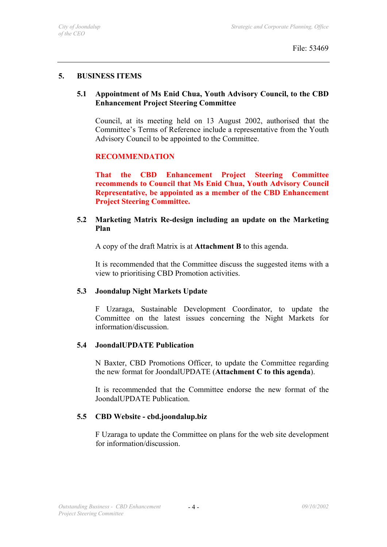## **5. BUSINESS ITEMS**

# **5.1 Appointment of Ms Enid Chua, Youth Advisory Council, to the CBD Enhancement Project Steering Committee**

Council, at its meeting held on 13 August 2002, authorised that the Committee's Terms of Reference include a representative from the Youth Advisory Council to be appointed to the Committee.

# **RECOMMENDATION**

**That the CBD Enhancement Project Steering Committee recommends to Council that Ms Enid Chua, Youth Advisory Council Representative, be appointed as a member of the CBD Enhancement Project Steering Committee.** 

# **5.2 Marketing Matrix Re-design including an update on the Marketing Plan**

A copy of the draft Matrix is at **Attachment B** to this agenda.

It is recommended that the Committee discuss the suggested items with a view to prioritising CBD Promotion activities.

# **5.3 Joondalup Night Markets Update**

F Uzaraga, Sustainable Development Coordinator, to update the Committee on the latest issues concerning the Night Markets for information/discussion.

#### **5.4 JoondalUPDATE Publication**

N Baxter, CBD Promotions Officer, to update the Committee regarding the new format for JoondalUPDATE (**Attachment C to this agenda**).

It is recommended that the Committee endorse the new format of the JoondalUPDATE Publication.

# **5.5 CBD Website - cbd.joondalup.biz**

F Uzaraga to update the Committee on plans for the web site development for information/discussion.